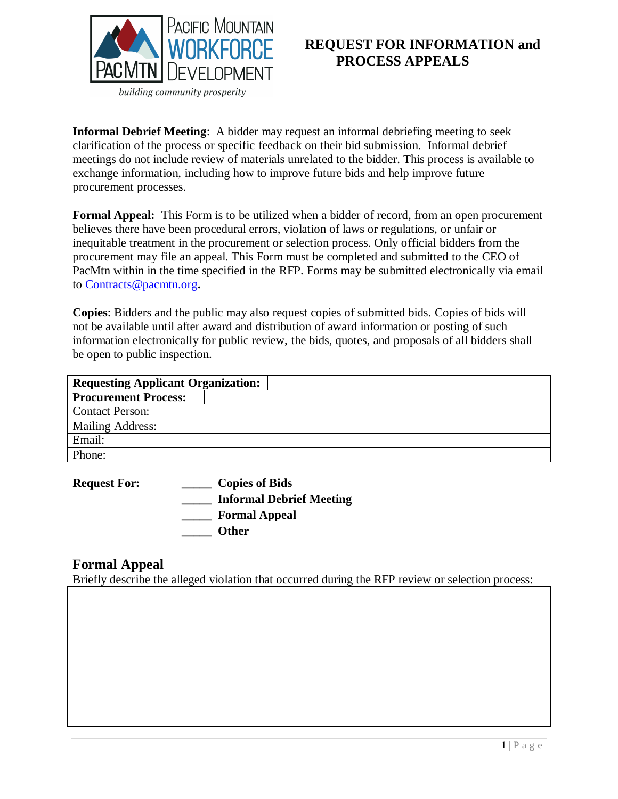

## **REQUEST FOR INFORMATION and PROCESS APPEALS**

**Informal Debrief Meeting**: A bidder may request an informal debriefing meeting to seek clarification of the process or specific feedback on their bid submission. Informal debrief meetings do not include review of materials unrelated to the bidder. This process is available to exchange information, including how to improve future bids and help improve future procurement processes.

**Formal Appeal:** This Form is to be utilized when a bidder of record, from an open procurement believes there have been procedural errors, violation of laws or regulations, or unfair or inequitable treatment in the procurement or selection process. Only official bidders from the procurement may file an appeal. This Form must be completed and submitted to the CEO of PacMtn within in the time specified in the RFP. Forms may be submitted electronically via email to [Contracts@pacmtn.org](mailto:Contracts@pacmtn.org)**.** 

**Copies**: Bidders and the public may also request copies of submitted bids. Copies of bids will not be available until after award and distribution of award information or posting of such information electronically for public review, the bids, quotes, and proposals of all bidders shall be open to public inspection.

| <b>Requesting Applicant Organization:</b> |  |
|-------------------------------------------|--|
| <b>Procurement Process:</b>               |  |
| <b>Contact Person:</b>                    |  |
| Mailing Address:                          |  |
| Email:                                    |  |
| Phone:                                    |  |

**Request For: \_\_\_\_\_ Copies of Bids \_\_\_\_\_ Informal Debrief Meeting \_\_\_\_\_ Formal Appeal \_\_\_\_\_ Other**

## **Formal Appeal**

Briefly describe the alleged violation that occurred during the RFP review or selection process: